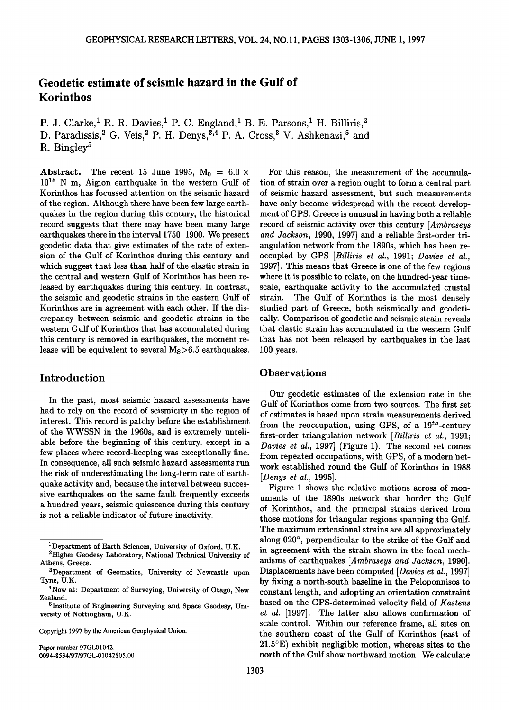# **Geodetic estimate of seismic hazard in the Gulf of Korinthos**

P. J. Clarke,<sup>1</sup> R. R. Davies,<sup>1</sup> P. C. England,<sup>1</sup> B. E. Parsons,<sup>1</sup> H. Billiris,<sup>2</sup> D. Paradissis,<sup>2</sup> G. Veis,<sup>2</sup> P. H. Denys,<sup>3,4</sup> P. A. Cross,<sup>3</sup> V. Ashkenazi,<sup>5</sup> and **R. Bingley s**

**Abstract.** The recent 15 June 1995,  $M_0 = 6.0 \times$  $10^{18}$  N m, Aigion earthquake in the western Gulf of **Korinthos has focussed attention on the seismic hazard of the region. Although there have been few large earthquakes in the region during this century, the historical record suggests that there may have been many large earthquakes there in the interval 1750-1900. We present geodetic data that give estimates of the rate of extension of the Gulf of Korinthos during this century and which suggest that less than half of the elastic strain in the central and western Gulf of Korinthos has been released by earthquakes during this century. In contrast, the seismic and geodetic strains in the eastern Gulf of Korinthos are in agreement with each other. If the discrepancy between seismic and geodetic strains in the western Gulf of Korinthos that has accumulated during this century is removed in earthquakes, the moment release will be equivalent to several Ms>6.5 earthquakes.** 

**In the past, most seismic hazard assessments have had to rely on the record of seismicity in the region of interest. This record is patchy before the establishment of the WWSSN in the 1960s, and is extremely unreliable before the beginning of this century, except in a few places where record-keeping was exceptionally fine. In consequence, all such seismic hazard assessments run the risk of underestimating the long-term rate of earthquake activity and, because the interval between successive earthquakes on the same fault frequently exceeds a hundred years, seismic quiescence during this century is not a reliable indicator of future inactivity.** 

**Copyright 1997 by the American Geophysical Union.** 

**Paper number 97GL01042. 0094-8534/97/97 GL-01042505.00** 

**For this reason, the measurement of the accumulation of strain over a region ought to form a central part of seismic hazard assessment, but such measurements have only become widespread with the recent development of GPS. Greece is unusual in having both a reliable record of seismic activity over this century [Ambraseys and Jackson, 1990, 1997] and a reliable first-order triangulation network from the 1890s, which has been reoccupied by GPS [Billiris et al., 1991; Davies et al., 1997]. This means that Greece is one of the few regions where it is possible to relate, on the hundred-year timescale, earthquake activity to the accumulated crustal strain. The Gulf of Korinthos is the most densely studied part of Greece, both seismically and geodetically. Comparison of geodetic and seismic strain reveals that elastic strain has accumulated in the western Gulf that has not been released by earthquakes in the last 100 years.** 

# **Introduction Observations**

**Our geodetic estimates of the extension rate in the Gulf of Korinthos come from two sources. The first set of estimates is based upon strain measurements derived from the reoccupation, using GPS, of a 19•h-century first-order triangulation network [Billiris et al., 1991; Davies et al., 1997] (Figure 1). The second set comes**  from repeated occupations, with GPS, of a modern net**work established round the Gulf of Korinthos in 1988 [Denys et al., 1995].** 

**Figure I shows the relative motions across of monuments of the 1890s network that border the Gulf of Korinthos, and the principal strains derived from those motions for triangular regions spanning the Gulf. The maximum extensional strains are all approximately**  along 020°, perpendicular to the strike of the Gulf and **in agreement with the strain shown in the focal mechanisms of earthquakes [Ambraseys and Jackson, 1990]. Displacements have been computed [Davies et al., 1997] by fixing a north-south baseline in the Peloponnisos to constant length, and adopting an orientation constraint based on the GPS-determined velocity field of Kastens et al. [1997]. The latter also allows confirmation of scale control. Within our reference frame, all sites on the southern coast of the Gulf of Korinthos (east of 21.5øE) exhibit negligible motion, whereas sites to the north of the Gulf show northward motion. We calculate** 

<sup>&</sup>lt;sup>1</sup>Department of Earth Sciences, University of Oxford, U.K.

**<sup>2</sup>Higher Geodesy Laboratory, National Technical University of Athens, Greece.** 

**aDepartment of Geomatics, University of Newcastle upon Tyne, U.K.** 

**<sup>4</sup>Now at: Department of Surveying, University of Otago, New Zealand.** 

**<sup>5</sup>Institute of Engineering Surveying and Space Geodesy, University of Nottingham, U.K.**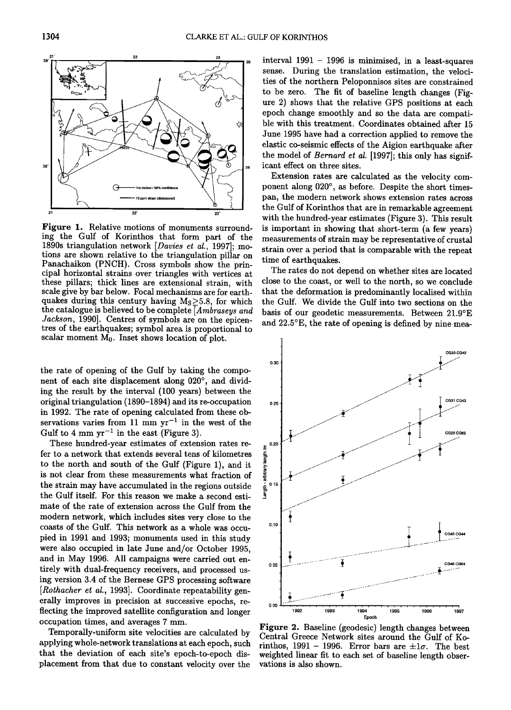

**Figure 1. Relative motions of monuments surrounding the Gulf of Korinthos that form part of the 1890s triangulation network [Davies et at., 1997]; motions are shown relative to the triangulation pillar on Panachaikon (PNCH). Cross symbols show the principal horizontal strains over triangles with vertices at these pillars; thick lines are extensional strain, with scale give by bar below. Focal mechanisms are for earthquakes during this century having Ms\_>5.8, for which the catalogue is believed to be complete [Ambraseys and Jackson, 1990]. Centres of symbols are on the epicentres of the earthquakes; symbol area is proportional to**  scalar moment  $M_0$ . Inset shows location of plot.

**the rate of opening of the Gulf by taking the compo**nent of each site displacement along 020°, and divid**ing the result by the interval (100 years) between the original triangulation (1890-1894) and its re-occupation 0.2s in 1992. The rate of opening calculated from these ob**servations varies from 11 mm  $yr^{-1}$  in the west of the Gulf to 4 mm  $yr^{-1}$  in the east (Figure 3).

These hundred-year estimates of extension rates re-<br>t to a network that extends several tens of kilometres<br>the north and south of the Gulf (Figure 1), and it<br>not clear from these measurements what fraction of fer to a network that extends several tens of kilometres to the north and south of the Gulf (Figure 1), and it is not clear from these measurements what fraction of the strain may have accumulated in the regions outside  $\frac{1}{8}$ <sup>01</sup><br>the Gulf itself. For this reason we make a second estithe Gulf itself. For this reason we make a second esti**mate of the rate of extension across the Gulf from the modern network, which includes sites very close to the**  coasts of the Gulf. This network as a whole was occu**pied in 1991 and 1993; monuments used in this study were also occupied in late June and/or October 1995, and in May 1996. All campaigns were carried out entirely with dual-frequency receivers, and processed using version 3.4 of the Bernese GPS processing software**  [Rothacher et al., 1993]. Coordinate repeatability generally improves in precision at successive epochs, re**flecting the improved satellite configuration and longer occupation times, and averages 7 mm.** 

**Temporally-uniform site velocities are calculated by applying whole-network translations at each epoch, such that the deviation of each site's epoch-to-epoch displacement from that due to constant velocity over the** 

sense. During the translation estimation, the velocities of the northern Peloponnisos sites are constrained<br>to be zero. The fit of baseline length changes (Fig**interval 1991 - 1996 is minimised, in a least-squares sense. During the translation estimation, the velocities of the northern Peloponnisos sites are constrained ure 2) shows that the relative G PS positions at each epoch change smoothly and so the data are compatible with this treatment. Coordinates obtained after 15 June 1995 have had a correction applied to remove the elastic co-seismic effects of the Aigion earthquake after**  the model of *Bernard et al.* [1997]; this only has signif**icant effect on three sites.** 

> **Extension rates are calculated as the velocity com**ponent along 020°, as before. Despite the short times**pan, the modern network shows extension rates across the Gulf of Korinthos that are in remarkable agreement with the hundred-year estimates (Figure 3). This result is important in showing that short-term (a few years) measurements of strain may be representative of crustal strain over a period that is comparable with the repeat time of earthquakes.**

> **The rates do not depend on whether sites are located close to the coast, or well to the north, so we conclude that the deformation is predominantly localised within the Gulf. We divide the Gulf into two sections on the basis of our geodetic measurements. Between 21.9øE and 22.5øE, the rate of opening is defined by nine mea-**



**Figure 2. Baseline (geodesic) length changes between Central Greece Network sites around the Gulf of Ko** $r$  rinthos, 1991 - 1996. Error bars are  $\pm 1\sigma$ . The best **weighted linear fit to each set of baseline length observations is also shown.**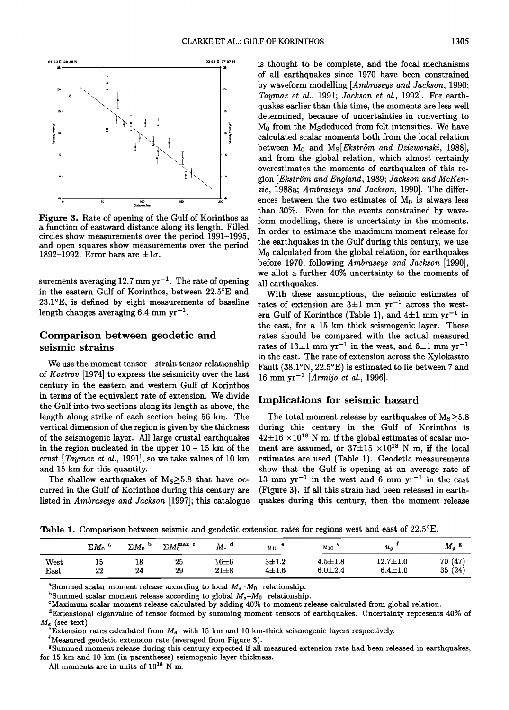

**Figure 3. Rate of opening of the Gulf of Korinthos as a function of eastward distance along its length. Filled circles show measurements over the period 1991-1995, and open squares show measurements over the period**  1892-1992. Error bars are  $\pm 1\sigma$ .

surements averaging  $12.7 \text{ mm yr}^{-1}$ . The rate of opening **in the eastern Gulf of Korinthos, between 22.5øE and 23.1øE, is defined by eight measurements of baseline**  length changes averaging  $6.4 \text{ mm yr}^{-1}$ .

## **Comparison between geodetic and seismic strains**

**We use the moment tensor- strain tensor relationship of Kostrov [1974] to express the seismicity over the last century in the eastern and western Gulf of Korinthos in terms of the equivalent rate of extension. We divide the Gulf into two sections along its length as above, the length along strike of each section being 56 km. The vertical dimension of the region is given by the thickness of the seismogenic layer. All large crustal earthquakes**  in the region nucleated in the upper  $10 - 15$  km of the **crust [Taymaz et al., 1991], so we take values of 10 km and 15 km for this quantity.** 

The shallow earthquakes of  $M_s \geq 5.8$  that have oc**curred in the Gulf of Korinthos during this century are listed in Ambraseys and Jackson [1997]; this catalogue**  **is thought to be complete, and the focal mechanisms of all earthquakes since 1970 have been constrained by waveform modelling [Ambraseys and Jackson, 1990; Taymaz et al., 1991; Jackson et al., 1992]. For earthquakes earlier than this time, the moments are less well determined, because of uncertainties in converting to M0 from the Msdeduced from felt intensities. We have calculated scalar moments both from the local relation**  between M<sub>0</sub> and M<sub>S</sub>[*Ekström and Dziewonski*, 1988], **and from the global relation, which almost certainly overestimates the moments of earthquakes of this re**gion [Ekström and England, 1989; Jackson and McKen**zie, 1988a; Ambraseys and Jackson, 1990]. The differ**ences between the two estimates of  $M_0$  is always less **than 30%. Even for the events constrained by waveform modelling, there is uncertainty in the moments. In order to estimate the maximum moment release for the earthquakes in the Gulf during this century, we use M0 calculated from the global relation, for earthquakes before 1970; following Ambraseys and Jackson [1990], we allot a further 40% uncertainty to the moments of all earthquakes.** 

**With these assumptions, the seismic estimates of**  rates of extension are  $3\pm1$  mm yr<sup>-1</sup> across the west $ern$  Gulf of Korinthos (Table 1), and  $4\pm1$  mm  $yr^{-1}$  in **the east, for a 15 km thick seismogenic layer. These rates should be compared with the actual measured**  rates of  $13\pm1$  mm yr<sup>-1</sup> in the west, and  $6\pm1$  mm yr<sup>-1</sup> **in the east. The rate of extension across the Xylokastro**  Fault (38.1°N, 22.5°E) is estimated to lie between 7 and **16 mm yr -x [Armijo et al., 1996].** 

## **Implications for seismic hazard**

The total moment release by earthquakes of  $M<sub>S</sub>$   $\geq$  5.8 **during this century in the Gulf of Korinthos is**   $42\pm16 \times 10^{18}$  N m, if the global estimates of scalar moment are assumed, or  $37\pm15 \times 10^{18}$  N m, if the local **estimates are used (Table 1). Geodetic measurements show that the Gulf is opening at an average rate of**  13 mm  $yr^{-1}$  in the west and 6 mm  $yr^{-1}$  in the east **(Figure 3). If all this strain had been released in earthquakes during this century, then the moment release** 

**Table 1.** Comparison between seismic and geodetic extension rates for regions west and east of 22.5°E.

|              | $\Sigma M_0$ | $\Sigma M_0$<br>Ð | $\Sigma M_0^{\rm max}$ c | $M_e$ <sup>d</sup>    | $u_{15}$                 | $u_{10}$                     | $u_a$                           | $M_{\bm{g}}$             |
|--------------|--------------|-------------------|--------------------------|-----------------------|--------------------------|------------------------------|---------------------------------|--------------------------|
| West<br>East | 15<br>22     | 18<br>24          | 25<br>29                 | $16\pm 6$<br>$21\pm8$ | $3 + 1.2$<br>$4 \pm 1.6$ | $4.5 \pm 1.8$<br>$6.0 + 2.4$ | $12.7 \pm 1.0$<br>$6.4 \pm 1.0$ | (47)<br>70<br>35<br>(24) |

<sup>a</sup>Summed scalar moment release according to local  $M_s - M_0$  relationship.

<sup>b</sup>Summed scalar moment release according to global  $M_s - M_0$  relationship.

 $\frac{P}{2}$ Extension rates calculated from  $M_e$ , with 15 km and 10 km-thick seismogenic layers respectively.

<sup>f</sup> Measured geodetic extension rate (averaged from Figure 3).

**g Summed moment release during this century expected if all measured extension rate had been released in earthquakes, for 15 km and 10 km (in parentheses) seismogenic layer thickness.** 

All moments are in units of  $10^{18}$  N m.

**CMaximum scalar moment release calculated by adding 40% to moment release calculated from global relation.** 

**aExtensional eigenvalue of tensor formed by summing moment tensors of earthquakes. Uncertainty represents 40% of**   $M_e$  (see text).